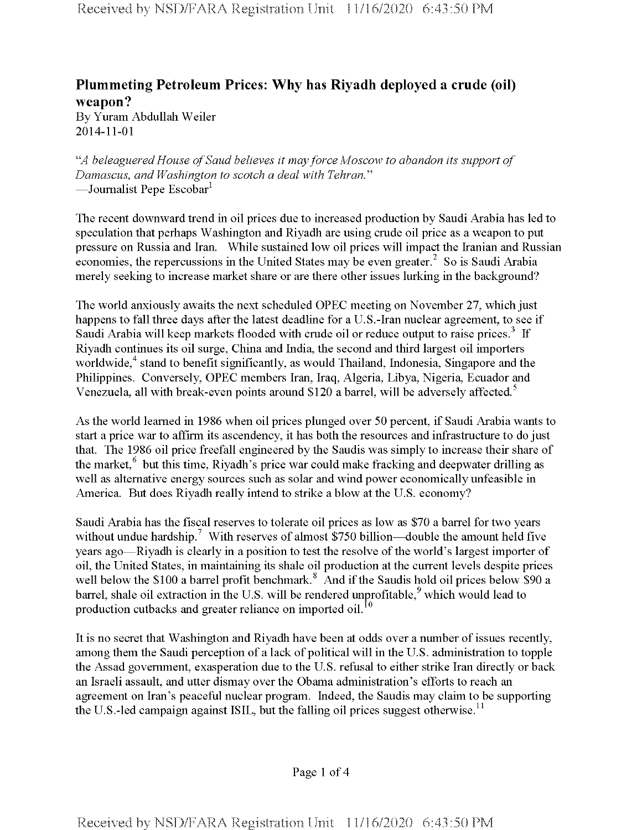## **Plummeting Petroleum Prices: Why has Riyadh deployed a crude (oil) weapon?**

By Yuram Abdullah Weiler 2014-11-01

"A *beleagueredHouse ofSaud believes it mayforce Moscow to abandon its support of Damascus, and Washington to scotch a deal with Tehran*." —Journalist Pepe Escobar<sup>1</sup>

The recent downward trend in oil prices due to increased production by Saudi Arabia has led to speculation that perhaps Washington and Riyadh are using crude oil price as a weapon to put pressure on Russia and Iran. While sustained low oil prices will impact the Iranian and Russian economies, the repercussions in the United States may be even greater.<sup>2</sup> So is Saudi Arabia merely seeking to increase market share or are there other issues lurking in the background?

The world anxiously awaits the next scheduled OPEC meeting on November 27, which just happens to fall three days after the latest deadline for a U.S.-Iran nuclear agreement, to see if Saudi Arabia will keep markets flooded with crude oil or reduce output to raise prices.<sup>3</sup> If Riyadh continues its oil surge, China and India, the second and third largest oil importers worldwide, $4$  stand to benefit significantly, as would Thailand, Indonesia, Singapore and the Philippines. Conversely, OPEC members Iran, Iraq, Algeria, Libya, Nigeria, Ecuador and Venezuela, all with break-even points around \$120 a barrel, will be adversely affected.<sup>5</sup>

As the world learned in 1986 when oil prices plunged over 50 percent, if Saudi Arabia wants to start a price war to affirm its ascendency, it has both the resources and infrastructure to do just that. The 1986 oil price freefall engineered by the Saudis was simply to increase their share of the market, $6$  but this time, Riyadh's price war could make fracking and deepwater drilling as well as alternative energy sources such as solar and wind power economically unfeasible in America. But does Riyadh really intend to strike a blow at the U.S. economy?

Saudi Arabia has the fiscal reserves to tolerate oil prices as low as \$70 a barrel for two years without undue hardship.<sup>7</sup> With reserves of almost \$750 billion—double the amount held five years ago—Riyadh is clearly in a position to test the resolve of the world's largest importer of oil, the United States, in maintaining its shale oil production at the current levels despite prices well below the \$100 a barrel profit benchmark.<sup>8</sup> And if the Saudis hold oil prices below \$90 a barrel, shale oil extraction in the U.S. will be rendered unprofitable,  $9$  which would lead to production cutbacks and greater reliance on imported oil.<sup>10</sup>

It is no secret that Washington and Riyadh have been at odds over a number of issues recently, among them the Saudi perception of a lack of political will in the U.S. administration to topple the Assad government, exasperation due to the U.S. refusal to either strike Iran directly or back an Israeli assault, and utter dismay over the Obama administration's efforts to reach an agreement on Iran's peaceful nuclear program. Indeed, the Saudis may claim to be supporting the U.S.-led campaign against ISIL, but the falling oil prices suggest otherwise.<sup>11</sup>

Page <sup>1</sup> of 4

Received by NSD/FARA Registration Unit 11/16/2020 6:43:50 PM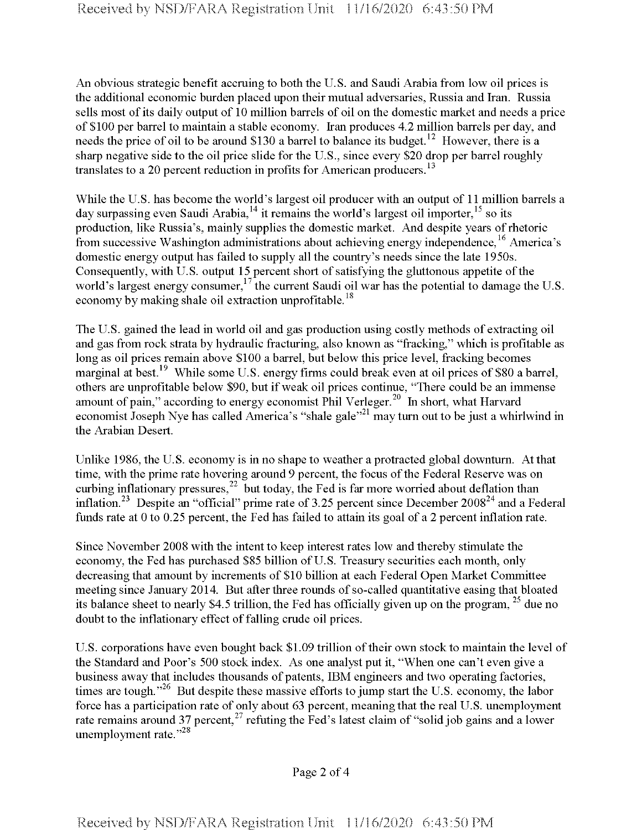An obvious strategic benefit accruing to both the U.S. and Saudi Arabia from low oil prices is the additional economic burden placed upon their mutual adversaries, Russia and Iran. Russia sells most of its daily output of 10 million barrels of oil on the domestic market and needs a price of \$100 per barrel to maintain a stable economy. Iran produces 4.2 million barrels per day, and needs the price of oil to be around \$130 a barrel to balance its budget.<sup>12</sup> However, there is a sharp negative side to the oil price slide for the U.S., since every \$20 drop per barrel roughly translates to a 20 percent reduction in profits for American producers.<sup>13</sup>

While the U.S. has become the world's largest oil producer with an output of 11 million barrels a day surpassing even Saudi Arabia,<sup>14</sup> it remains the world's largest oil importer,<sup>15</sup> so its production, like Russia's, mainly supplies the domestic market. And despite years of rhetoric from successive Washington administrations about achieving energy independence,<sup>16</sup> America's domestic energy output has failed to supply all the country's needs since the late 1950s. Consequently, with U.S. output 15 percent short of satisfying the gluttonous appetite of the world's largest energy consumer,<sup>17</sup> the current Saudi oil war has the potential to damage the U.S. economy by making shale oil extraction unprofitable.<sup>18</sup>

The U.S. gained the lead in world oil and gas production using costly methods of extracting oil and gas from rock strata by hydraulic fracturing, also known as "fracking," which is profitable as long as oil prices remain above \$100 a barrel, but below this price level, fracking becomes marginal at best.<sup>19</sup> While some U.S. energy firms could break even at oil prices of \$80 a barrel, others are unprofitable below \$90, but if weak oil prices continue, "There could be an immense amount of pain," according to energy economist Phil Verleger.<sup>20</sup> In short, what Harvard economist Joseph Nye has called America's "shale gale"<sup>21</sup> may turn out to be just a whirlwind in the Arabian Desert.

Unlike 1986, the U.S. economy is in no shape to weather a protracted global downturn. Atthat time, with the prime rate hovering around 9 percent, the focus of the Federal Reserve was on curbing inflationary pressures,  $\frac{22}{3}$  but today, the Fed is far more worried about deflation than inflation.<sup>23</sup> Despite an "official" prime rate of 3.25 percent since December 2008<sup>24</sup> and a Federal funds rate at 0 to 0.25 percent, the Fed has failed to attain its goal of a 2 percent inflation rate.

Since November 2008 with the intent to keep interest rates low and thereby stimulate the economy, the Fed has purchased \$85 billion of U.S. Treasury securities each month, only decreasing that amount by increments of \$10 billion at each Federal Open Market Committee meeting since January 2014. But after three rounds of so-called quantitative easing that bloated its balance sheet to nearly \$4.5 trillion, the Fed has officially given up on the program, <sup>25</sup> due no doubt to the inflationary effect of falling crude oil prices.

U.S. corporations have even bought back \$1.09 trillion of their own stock to maintain the level of the Standard and Poor's 500 stock index. As one analyst put it, "When one can't even give a business away that includes thousands of patents, IBM engineers and two operating factories, times are tough."<sup>26</sup> But despite these massive efforts to jump start the U.S. economy, the labor force has a participation rate of only about 63 percent, meaning that the real U.S. unemployment rate remains around 37 percent,  $27$  refuting the Fed's latest claim of "solid job gains and a lower unemployment rate."<sup>28</sup>

Page 2 of 4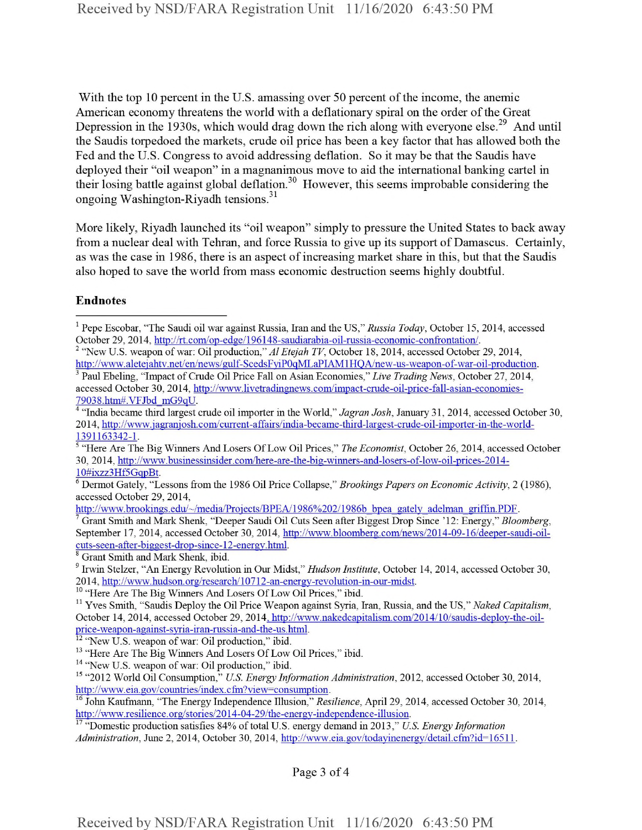With the top 10 percent in the U.S. amassing over 50 percent of the income, the anemic American economy threatens the world with a deflationary spiral on the order of the Great Depression in the 1930s, which would drag down the rich along with everyone else.<sup>29</sup> And until the Saudis torpedoed the markets, crude oil price has been a key factor that has allowed both the Fed and the U.S. Congress to avoid addressing deflation. So it may be that the Saudis have deployed their "oil weapon" in a magnanimous move to aid the international banking cartel in their losing battle against global deflation.<sup>30</sup> However, this seems improbable considering the ongoing Washington-Riyadh tensions.<sup>31</sup>

More likely, Riyadh launched its "oil weapon" simply to pressure the United States to back away from a nuclear deal with Tehran, and force Russia to give up its support of Damascus. Certainly, as was the case in 1986, there is an aspect of increasing market share in this, but that the Saudis also hoped to save the world from mass economic destruction seems highly doubtful.

## Endnotes

http://www.brookings.edu/~/media/Projects/BPEA/1986%202/1986b\_bpea\_gately\_adelman\_griffin.PDF.

7 Grant Smith and Mark Shenk, "Deeper Saudi Oil Cuts Seen after Biggest Drop Since T2: Energy," *Bloomberg,* September 17, 2014, accessed October 30, 2014, http://www.bloomberg.com/news/2014-Q9-16/deeper-saudi-oilcuts-seen-after-biggest-drop-since-12-energy.html.

8 Grant Smith and Mark Shenk, ibid.

9 Irwin Stelzer, "An Energy Revolution m Our Midst," *Hudson Institute,* October 14, 2014, accessed October 30, 2014, http://www.hudson.org/research/10712-an-energv-revolution-in-our-midst.

<sup>10</sup> "Here Are The Big Winners And Losers Of Low Oil Prices," ibid.

<sup>12</sup> "New U.S. weapon of war: Oil production," ibid.

<sup>13</sup> "Here Are The Big Winners And Losers Of Low Oil Prices," ibid.

<sup>14</sup> "New U.S. weapon of war: Oil production," ibid.

<sup>15</sup> "2012 World Oil Consumption," *U.S. Energy Information Administration,* 2012, accessed October 30, 2014, http://www.eia.gov/countries/index.cfm?view=consumption.

<sup>16</sup> John Kaufmann, "The Energy Independence Illusion," *Resilience*, April 29, 2014, accessed October 30, 2014, http://www.resilience.org/stones/2014-04-29/the-energv-independence-illusion.

<sup>17</sup> "Domestic production satisfies 84% oftotal U.S. energy demand in 2013," *U.S. Energy Information* Administration, June 2, 2014, October 30, 2014, http://www.eia.gov/todayinenergy/detail.cfm?id=16511.

Page 3 of 4

<sup>1</sup> Pepe Escobar, "The Saudi oil war against Russia, Iran and the US," *Russia Today*, October 15, 2014, accessed October 29, 2014, http://rt.com/op-edge/196148-saudiarabia-oil-russia-economic-confrontation/.

<sup>&</sup>lt;sup>2</sup> "New U.S. weapon of war: Oil production," Al Etejah TV, October 18, 2014, accessed October 29, 2014, http://www.aletejahtv.net/en/news/gulf-ScedsFyiP0qMLaPIAM1HQA/new-us-weapon-of-war-oil-production.

<sup>3</sup> Paul Ebeling, "Impact ofCrude Oil Price Fall on Asian Economies," *Live Trading News,* October 27, 2014, accessed October 30, 2014, http://www.livetradmgnews.com/impact-crude-oil-price-fall-asian-economies-79Q38.htm#.VFJbd mG9qU.

<sup>4</sup> "India became third largest crude oil importer in the World," *Jagran Josh,* January 31, 2014, accessed October 30, 2014, http://www.jagranjosh.com/current-affairs/india-became-third-largest-crude-oil-importer-in-the-world-1391163342-1.

<sup>5</sup> "Here Are The Big Winners And Losers OfLow Oil Prices," *The Economist,* October 26, 2014, accessed October 30, 2014, http://www.businessinsider.com/here-are-the-big-winners-and-losers-of-low-oil-prices-2014- 10#ixzz3Hf5GqpBt.

<sup>6</sup> Dermot Gately, "Lessons from the 1986 Oil Price Collapse," *Brookings Papers on Economic Activity,* 2 (1986), accessed October 29, 2014,

<sup>11</sup> Yves Smith, "Saudis Deploy the Oil Price Weapon against Syria, Iran, Russia, and the US," *Naked Capitalism,* October 14, 2014, accessed October 29, 2014. http://www.nakedcapitalism.com/2Q14/10/saudis-deplov-the-oilprice-weapon-against-syria-iran-russia-and-the-us.html.